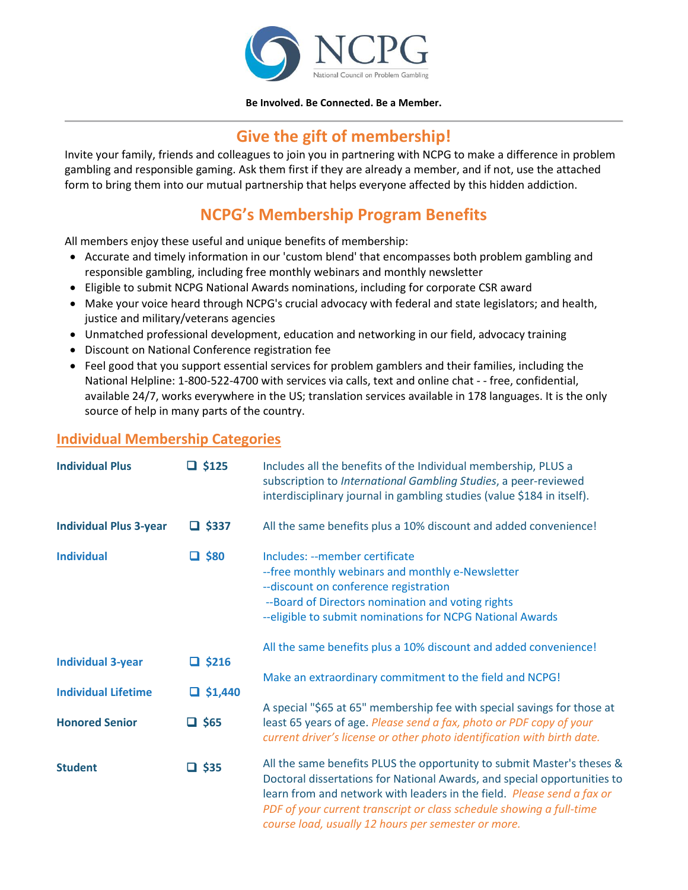

## **Be Involved. Be Connected. Be a Member.**

## **Give the gift of membership!**

Invite your family, friends and colleagues to join you in partnering with NCPG to make a difference in problem gambling and responsible gaming. Ask them first if they are already a member, and if not, use the attached form to bring them into our mutual partnership that helps everyone affected by this hidden addiction.

## **NCPG's Membership Program Benefits**

All members enjoy these useful and unique benefits of membership:

- Accurate and timely information in our 'custom blend' that encompasses both problem gambling and responsible gambling, including free monthly webinars and monthly newsletter
- Eligible to submit NCPG National Awards nominations, including for corporate CSR award
- Make your voice heard through NCPG's crucial advocacy with federal and state legislators; and health, justice and military/veterans agencies
- Unmatched professional development, education and networking in our field, advocacy training
- Discount on National Conference registration fee
- Feel good that you support essential services for problem gamblers and their families, including the National Helpline: 1-800-522-4700 with services via calls, text and online chat - - free, confidential, available 24/7, works everywhere in the US; translation services available in 178 languages. It is the only source of help in many parts of the country.

## **Individual Membership Categories**

| <b>Individual Plus</b>        | $\Box$ \$125   | Includes all the benefits of the Individual membership, PLUS a<br>subscription to International Gambling Studies, a peer-reviewed<br>interdisciplinary journal in gambling studies (value \$184 in itself).                                                                                                                                                 |  |  |  |
|-------------------------------|----------------|-------------------------------------------------------------------------------------------------------------------------------------------------------------------------------------------------------------------------------------------------------------------------------------------------------------------------------------------------------------|--|--|--|
| <b>Individual Plus 3-year</b> | $\Box$ \$337   | All the same benefits plus a 10% discount and added convenience!                                                                                                                                                                                                                                                                                            |  |  |  |
| <b>Individual</b>             | $\square$ \$80 | Includes: --member certificate<br>-- free monthly webinars and monthly e-Newsletter<br>--discount on conference registration<br>--Board of Directors nomination and voting rights<br>--eligible to submit nominations for NCPG National Awards                                                                                                              |  |  |  |
|                               |                | All the same benefits plus a 10% discount and added convenience!                                                                                                                                                                                                                                                                                            |  |  |  |
| <b>Individual 3-year</b>      | $\Box$ \$216   | Make an extraordinary commitment to the field and NCPG!                                                                                                                                                                                                                                                                                                     |  |  |  |
| <b>Individual Lifetime</b>    | $\Box$ \$1,440 |                                                                                                                                                                                                                                                                                                                                                             |  |  |  |
| <b>Honored Senior</b>         | $\Box$ \$65    | A special "\$65 at 65" membership fee with special savings for those at<br>least 65 years of age. Please send a fax, photo or PDF copy of your<br>current driver's license or other photo identification with birth date.                                                                                                                                   |  |  |  |
| <b>Student</b>                | $\Box$ \$35    | All the same benefits PLUS the opportunity to submit Master's theses &<br>Doctoral dissertations for National Awards, and special opportunities to<br>learn from and network with leaders in the field. Please send a fax or<br>PDF of your current transcript or class schedule showing a full-time<br>course load, usually 12 hours per semester or more. |  |  |  |